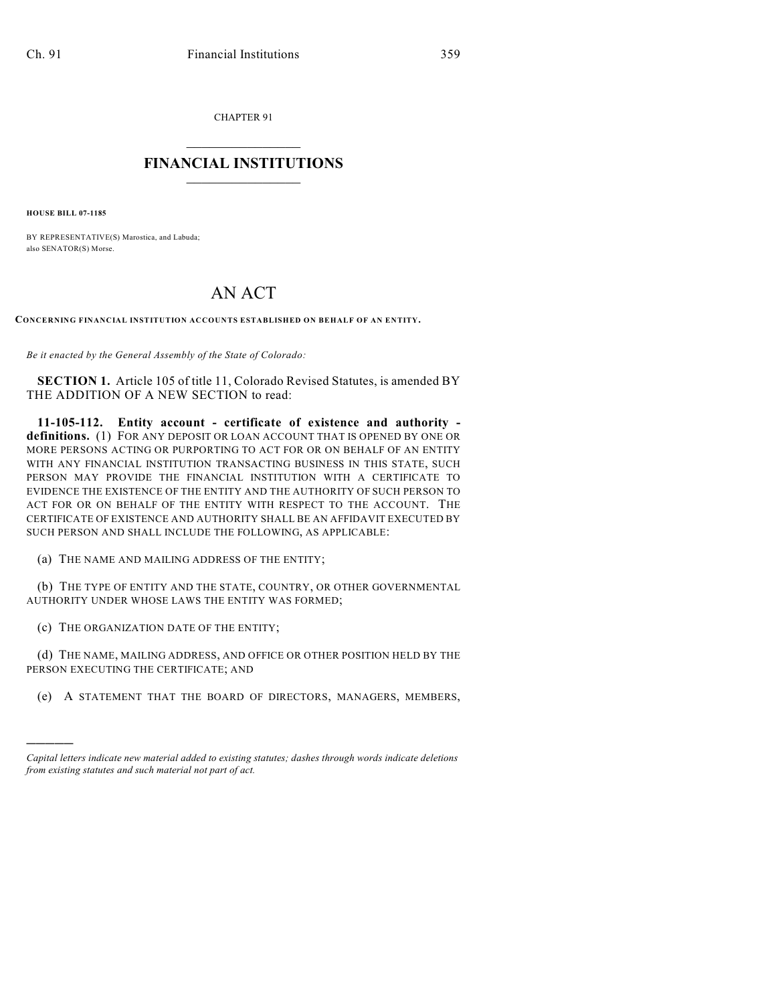CHAPTER 91

## $\mathcal{L}_\text{max}$  . The set of the set of the set of the set of the set of the set of the set of the set of the set of the set of the set of the set of the set of the set of the set of the set of the set of the set of the set **FINANCIAL INSTITUTIONS**  $\frac{1}{2}$  ,  $\frac{1}{2}$  ,  $\frac{1}{2}$  ,  $\frac{1}{2}$  ,  $\frac{1}{2}$  ,  $\frac{1}{2}$  ,  $\frac{1}{2}$

**HOUSE BILL 07-1185**

)))))

BY REPRESENTATIVE(S) Marostica, and Labuda; also SENATOR(S) Morse.

## AN ACT

**CONCERNING FINANCIAL INSTITUTION ACCOUNTS ESTABLISHED ON BEHALF OF AN ENTITY.**

*Be it enacted by the General Assembly of the State of Colorado:*

**SECTION 1.** Article 105 of title 11, Colorado Revised Statutes, is amended BY THE ADDITION OF A NEW SECTION to read:

**11-105-112. Entity account - certificate of existence and authority definitions.** (1) FOR ANY DEPOSIT OR LOAN ACCOUNT THAT IS OPENED BY ONE OR MORE PERSONS ACTING OR PURPORTING TO ACT FOR OR ON BEHALF OF AN ENTITY WITH ANY FINANCIAL INSTITUTION TRANSACTING BUSINESS IN THIS STATE, SUCH PERSON MAY PROVIDE THE FINANCIAL INSTITUTION WITH A CERTIFICATE TO EVIDENCE THE EXISTENCE OF THE ENTITY AND THE AUTHORITY OF SUCH PERSON TO ACT FOR OR ON BEHALF OF THE ENTITY WITH RESPECT TO THE ACCOUNT. THE CERTIFICATE OF EXISTENCE AND AUTHORITY SHALL BE AN AFFIDAVIT EXECUTED BY SUCH PERSON AND SHALL INCLUDE THE FOLLOWING, AS APPLICABLE:

(a) THE NAME AND MAILING ADDRESS OF THE ENTITY;

(b) THE TYPE OF ENTITY AND THE STATE, COUNTRY, OR OTHER GOVERNMENTAL AUTHORITY UNDER WHOSE LAWS THE ENTITY WAS FORMED;

(c) THE ORGANIZATION DATE OF THE ENTITY;

(d) THE NAME, MAILING ADDRESS, AND OFFICE OR OTHER POSITION HELD BY THE PERSON EXECUTING THE CERTIFICATE; AND

(e) A STATEMENT THAT THE BOARD OF DIRECTORS, MANAGERS, MEMBERS,

*Capital letters indicate new material added to existing statutes; dashes through words indicate deletions from existing statutes and such material not part of act.*